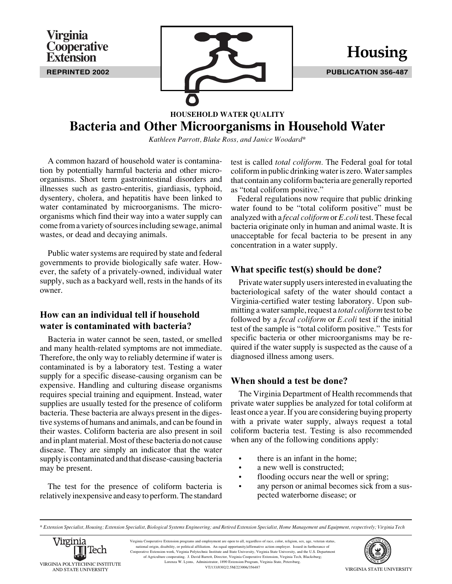**REPRINTED 2002 PUBLICATION 356-487**

# **HOUSEHOLD WATER QUALITY Bacteria and Other Microorganisms in Household Water**

*Kathleen Parrott, Blake Ross, and Janice Woodard\**

A common hazard of household water is contamination by potentially harmful bacteria and other microorganisms. Short term gastrointestinal disorders and illnesses such as gastro-enteritis, giardiasis, typhoid, dysentery, cholera, and hepatitis have been linked to water contaminated by microorganisms. The microorganisms which find their way into a water supply can come from a variety of sources including sewage, animal wastes, or dead and decaying animals.

**Virginia**

**Cooperative Extension**

Public water systems are required by state and federal governments to provide biologically safe water. However, the safety of a privately-owned, individual water supply, such as a backyard well, rests in the hands of its owner.

## **How can an individual tell if household water is contaminated with bacteria?**

Bacteria in water cannot be seen, tasted, or smelled and many health-related symptoms are not immediate. Therefore, the only way to reliably determine if water is contaminated is by a laboratory test. Testing a water supply for a specific disease-causing organism can be expensive. Handling and culturing disease organisms requires special training and equipment. Instead, water supplies are usually tested for the presence of coliform bacteria. These bacteria are always present in the digestive systems of humans and animals, and can be found in their wastes. Coliform bacteria are also present in soil and in plant material. Most of these bacteria do not cause disease. They are simply an indicator that the water supply is contaminated and that disease-causing bacteria may be present.

The test for the presence of coliform bacteria is relatively inexpensive and easy to perform. The standard test is called *total coliform.* The Federal goal for total coliform in public drinking water is zero. Water samples that contain any coliform bacteria are generally reported as "total coliform positive."

Federal regulations now require that public drinking water found to be "total coliform positive" must be analyzed with a *fecal coliform* or *E.coli* test. These fecal bacteria originate only in human and animal waste. It is unacceptable for fecal bacteria to be present in any concentration in a water supply.

### **What specific test(s) should be done?**

Private water supply users interested in evaluating the bacteriological safety of the water should contact a Virginia-certified water testing laboratory. Upon submitting a water sample, request a *total coliform* test to be followed by a *fecal coliform* or *E.coli* test if the initial test of the sample is "total coliform positive." Tests for specific bacteria or other microorganisms may be required if the water supply is suspected as the cause of a diagnosed illness among users.

### **When should a test be done?**

The Virginia Department of Health recommends that private water supplies be analyzed for total coliform at least once a year. If you are considering buying property with a private water supply, always request a total coliform bacteria test. Testing is also recommended when any of the following conditions apply:

- there is an infant in the home;
- a new well is constructed:
- flooding occurs near the well or spring;
- any person or animal becomes sick from a suspected waterborne disease; or

*<sup>\*</sup> Extension Specialist, Housing; Extension Specialist, Biological Systems Engineering; and Retired Extension Specialist, Home Management and Equipment, respectively; Virginia Tech*



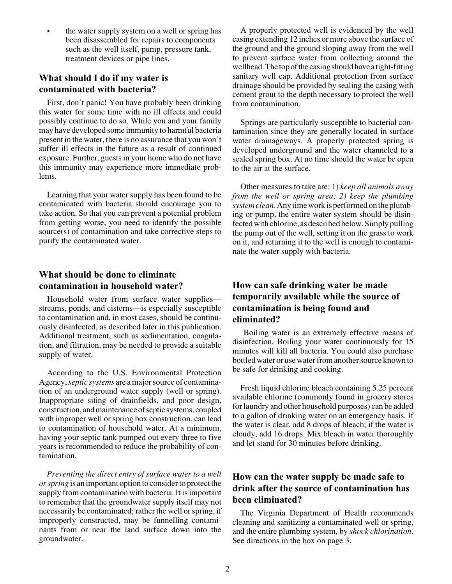the water supply system on a well or spring has been disassembled for repairs to components such as the well itself, pump, pressure tank, treatment devices or pipe lines.

#### **What should I do if my water is contaminated with bacteria?**

First, don't panic! You have probably been drinking this water for some time with no ill effects and could possibly continue to do so. While you and your family may have developed some immunity to harmful bacteria present in the water, there is no assurance that you won't suffer ill effects in the future as a result of continued exposure. Further, guests in your home who do not have this immunity may experience more immediate problems.

Learning that your water supply has been found to be contaminated with bacteria should encourage you to take action. So that you can prevent a potential problem from getting worse, you need to identify the possible source(s) of contamination and take corrective steps to purify the contaminated water.

#### **What should be done to eliminate contamination in household water?**

Household water from surface water supplies streams, ponds, and cisterns—is especially susceptible to contamination and, in most cases, should be continuously disinfected, as described later in this publication. Additional treatment, such as sedimentation, coagulation, and filtration, may be needed to provide a suitable supply of water.

According to the U.S. Environmental Protection Agency, *septic systems* are a major source of contamination of an underground water supply (well or spring). Inappropriate siting of drainfields, and poor design, construction, and maintenance of septic systems, coupled with improper well or spring box construction, can lead to contamination of household water. At a minimum, having your septic tank pumped out every three to five years is recommended to reduce the probability of contamination.

*Preventing the direct entry of surface water to a well or spring* is an important option to consider to protect the supply from contamination with bacteria. It is important to remember that the groundwater supply itself may not necessarily be contaminated; rather the well or spring, if improperly constructed, may be funnelling contaminants from or near the land surface down into the groundwater.

A properly protected well is evidenced by the well casing extending 12 inches or more above the surface of the ground and the ground sloping away from the well to prevent surface water from collecting around the wellhead. The top of the casing should have a tight-fitting sanitary well cap. Additional protection from surface drainage should be provided by sealing the casing with cement grout to the depth necessary to protect the well from contamination.

Springs are particularly susceptible to bacterial contamination since they are generally located in surface water drainageways. A properly protected spring is developed underground and the water channeled to a sealed spring box. At no time should the water be open to the air at the surface.

Other measures to take are: 1) *keep all animals away from the well or spring area; 2) keep the plumbing system clean.* Any time work is performed on the plumbing or pump, the entire water system should be disinfected with chlorine, as described below. Simply pulling the pump out of the well, setting it on the grass to work on it, and returning it to the well is enough to contaminate the water supply with bacteria.

### **How can safe drinking water be made temporarily available while the source of contamination is being found and eliminated?**

Boiling water is an extremely effective means of disinfection. Boiling your water continuously for 15 minutes will kill all bacteria. You could also purchase bottled water or use water from another source known to be safe for drinking and cooking.

Fresh liquid chlorine bleach containing 5.25 percent available chlorine (commonly found in grocery stores for laundry and other household purposes) can be added to a gallon of drinking water on an emergency basis. If the water is clear, add 8 drops of bleach; if the water is cloudy, add 16 drops. Mix bleach in water thoroughly and let stand for 30 minutes before drinking.

### **How can the water supply be made safe to drink after the source of contamination has been eliminated?**

The Virginia Department of Health recommends cleaning and sanitizing a contaminated well or spring, and the entire plumbing system, by *shock chlorination*. See directions in the box on page 3.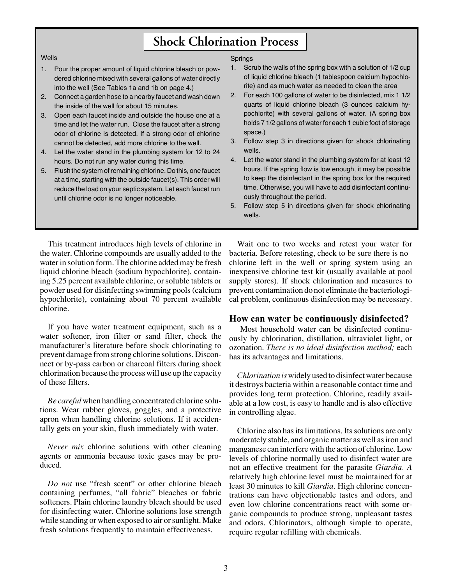# **Shock Chlorination Process**

#### Wells

- 1. Pour the proper amount of liquid chlorine bleach or powdered chlorine mixed with several gallons of water directly into the well (See Tables 1a and 1b on page 4.)
- 2. Connect a garden hose to a nearby faucet and wash down the inside of the well for about 15 minutes.
- 3. Open each faucet inside and outside the house one at a time and let the water run. Close the faucet after a strong odor of chlorine is detected. If a strong odor of chlorine cannot be detected, add more chlorine to the well.
- 4. Let the water stand in the plumbing system for 12 to 24 hours. Do not run any water during this time.
- 5. Flush the system of remaining chlorine. Do this, one faucet at a time, starting with the outside faucet(s). This order will reduce the load on your septic system. Let each faucet run until chlorine odor is no longer noticeable.

#### Springs

- 1. Scrub the walls of the spring box with a solution of 1/2 cup of liquid chlorine bleach (1 tablespoon calcium hypochlorite) and as much water as needed to clean the area
- 2. For each 100 gallons of water to be disinfected, mix 1 1/2 quarts of liquid chlorine bleach (3 ounces calcium hypochlorite) with several gallons of water. (A spring box holds 7 1/2 gallons of water for each 1 cubic foot of storage space.)
- 3. Follow step 3 in directions given for shock chlorinating wells.
- 4. Let the water stand in the plumbing system for at least 12 hours. If the spring flow is low enough, it may be possible to keep the disinfectant in the spring box for the required time. Otherwise, you will have to add disinfectant continuously throughout the period.
- 5. Follow step 5 in directions given for shock chlorinating wells.

This treatment introduces high levels of chlorine in the water. Chlorine compounds are usually added to the water in solution form. The chlorine added may be fresh liquid chlorine bleach (sodium hypochlorite), containing 5.25 percent available chlorine, or soluble tablets or powder used for disinfecting swimming pools (calcium hypochlorite), containing about 70 percent available chlorine.

If you have water treatment equipment, such as a water softener, iron filter or sand filter, check the manufacturer's literature before shock chlorinating to prevent damage from strong chlorine solutions. Disconnect or by-pass carbon or charcoal filters during shock chlorination because the process will use up the capacity of these filters.

*Be careful* when handling concentrated chlorine solutions. Wear rubber gloves, goggles, and a protective apron when handling chlorine solutions. If it accidentally gets on your skin, flush immediately with water.

*Never mix* chlorine solutions with other cleaning agents or ammonia because toxic gases may be produced.

*Do not* use "fresh scent" or other chlorine bleach containing perfumes, "all fabric" bleaches or fabric softeners. Plain chlorine laundry bleach should be used for disinfecting water. Chlorine solutions lose strength while standing or when exposed to air or sunlight. Make fresh solutions frequently to maintain effectiveness.

Wait one to two weeks and retest your water for bacteria. Before retesting, check to be sure there is no chlorine left in the well or spring system using an inexpensive chlorine test kit (usually available at pool supply stores). If shock chlorination and measures to prevent contamination do not eliminate the bacteriological problem, continuous disinfection may be necessary.

#### **How can water be continuously disinfected?**

Most household water can be disinfected continuously by chlorination, distillation, ultraviolet light, or ozonation. *There is no ideal disinfection method;* each has its advantages and limitations.

*Chlorination is* widely used to disinfect water because it destroys bacteria within a reasonable contact time and provides long term protection. Chlorine, readily available at a low cost, is easy to handle and is also effective in controlling algae.

Chlorine also has its limitations. Its solutions are only moderately stable, and organic matter as well as iron and manganese can interfere with the action of chlorine. Low levels of chlorine normally used to disinfect water are not an effective treatment for the parasite *Giardia. A* relatively high chlorine level must be maintained for at least 30 minutes to kill *Giardia.* High chlorine concentrations can have objectionable tastes and odors, and even low chlorine concentrations react with some organic compounds to produce strong, unpleasant tastes and odors. Chlorinators, although simple to operate, require regular refilling with chemicals.